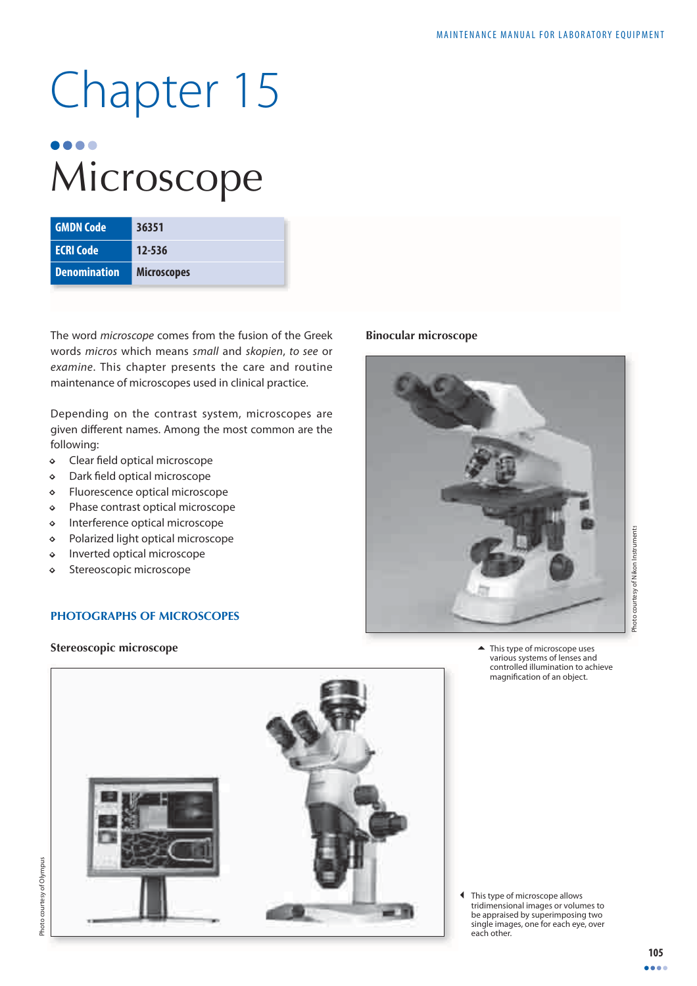# Chapter 15

# Microscope

| <b>GMDN Code</b>    | 36351              |
|---------------------|--------------------|
| <b>ECRI Code</b>    | 12-536             |
| <b>Denomination</b> | <b>Microscopes</b> |

The word microscope comes from the fusion of the Greek words micros which means small and skopien, to see or examine. This chapter presents the care and routine maintenance of microscopes used in clinical practice.

Depending on the contrast system, microscopes are given different names. Among the most common are the following:

- Clear field optical microscope
- Dark field optical microscope
- Fluorescence optical microscope
- Phase contrast optical microscope
- Interference optical microscope
- Polarized light optical microscope
- Inverted optical microscope
- Stereoscopic microscope

#### **PHOTOGRAPHS OF MICROSCOPES**

#### **Stereoscopic microscope**





 $\blacktriangle$  This type of microscope uses various systems of lenses and controlled illumination to achieve magnification of an object.

This type of microscope allows tridimensional images or volumes to be appraised by superimposing two single images, one for each eye, over each other.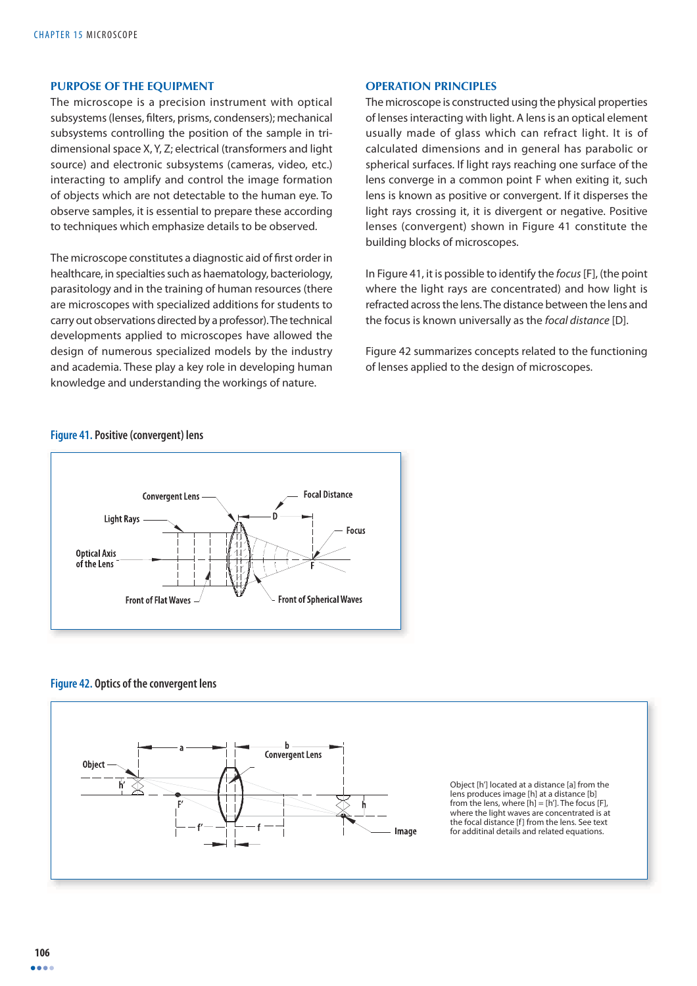#### **PURPOSE OF THE EQUIPMENT**

The microscope is a precision instrument with optical subsystems (lenses, filters, prisms, condensers); mechanical subsystems controlling the position of the sample in tridimensional space X, Y, Z; electrical (transformers and light source) and electronic subsystems (cameras, video, etc.) interacting to amplify and control the image formation of objects which are not detectable to the human eye. To observe samples, it is essential to prepare these according to techniques which emphasize details to be observed.

The microscope constitutes a diagnostic aid of first order in healthcare, in specialties such as haematology, bacteriology, parasitology and in the training of human resources (there are microscopes with specialized additions for students to carry out observations directed by a professor). The technical developments applied to microscopes have allowed the design of numerous specialized models by the industry and academia. These play a key role in developing human knowledge and understanding the workings of nature.

#### **OPERATION PRINCIPLES**

The microscope is constructed using the physical properties of lenses interacting with light. A lens is an optical element usually made of glass which can refract light. It is of calculated dimensions and in general has parabolic or spherical surfaces. If light rays reaching one surface of the lens converge in a common point F when exiting it, such lens is known as positive or convergent. If it disperses the light rays crossing it, it is divergent or negative. Positive lenses (convergent) shown in Figure 41 constitute the building blocks of microscopes.

In Figure 41, it is possible to identify the focus [F], (the point where the light rays are concentrated) and how light is refracted across the lens. The distance between the lens and the focus is known universally as the focal distance [D].

Figure 42 summarizes concepts related to the functioning of lenses applied to the design of microscopes.

#### **Figure 41. Positive (convergent) lens**





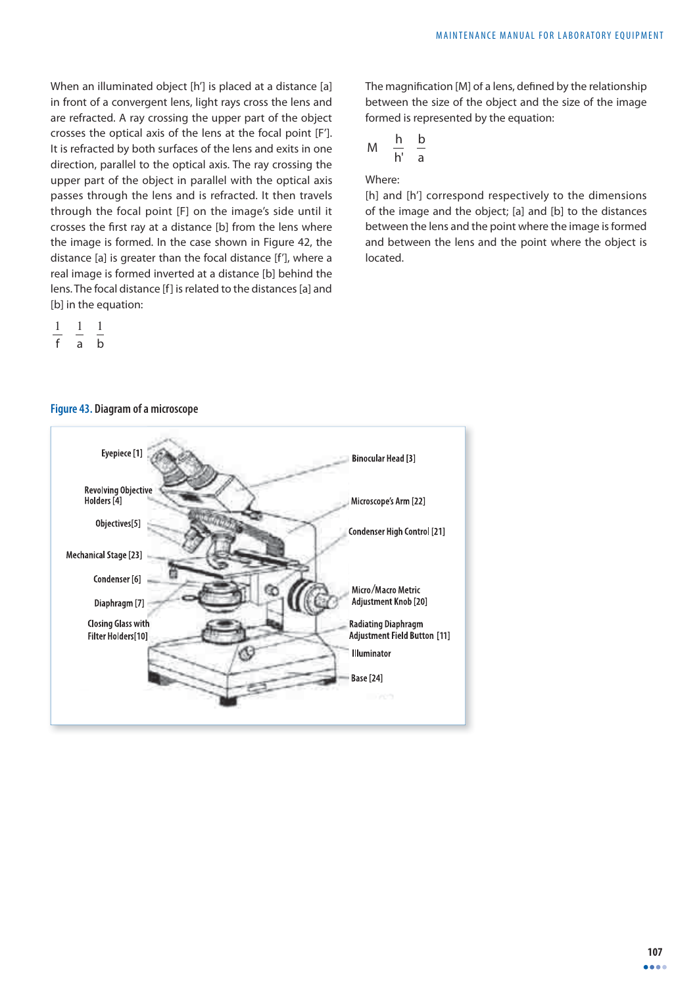When an illuminated object [h'] is placed at a distance [a] in front of a convergent lens, light rays cross the lens and are refracted. A ray crossing the upper part of the object crosses the optical axis of the lens at the focal point [F']. It is refracted by both surfaces of the lens and exits in one direction, parallel to the optical axis. The ray crossing the upper part of the object in parallel with the optical axis passes through the lens and is refracted. It then travels through the focal point [F] on the image's side until it crosses the first ray at a distance [b] from the lens where the image is formed. In the case shown in Figure 42, the distance [a] is greater than the focal distance [f'], where a real image is formed inverted at a distance [b] behind the lens. The focal distance [f] is related to the distances [a] and [b] in the equation:

1 f 1 a 1 b

Eyepiece [1] **Binocular Head [3] Revolving Objective** Holders [4] Microscope's Arm [22] Objectives[5] **Condenser High Control [21]** Mechanical Stage [23] Condenser [6] Micro/Macro Metric<br>Adjustment Knob [20] Diaphragm [7] **Closing Glass with Radiating Diaphragm** Filter Holders[10] **Adjustment Field Button [11]** Illuminator Base [24]

#### **Figure 43. Diagram of a microscope**

The magnification [M] of a lens, defined by the relationship between the size of the object and the size of the image formed is represented by the equation:

$$
M \quad \frac{h}{h'} \quad \frac{b}{a}
$$

#### Where:

[h] and [h'] correspond respectively to the dimensions of the image and the object; [a] and [b] to the distances between the lens and the point where the image is formed and between the lens and the point where the object is located.

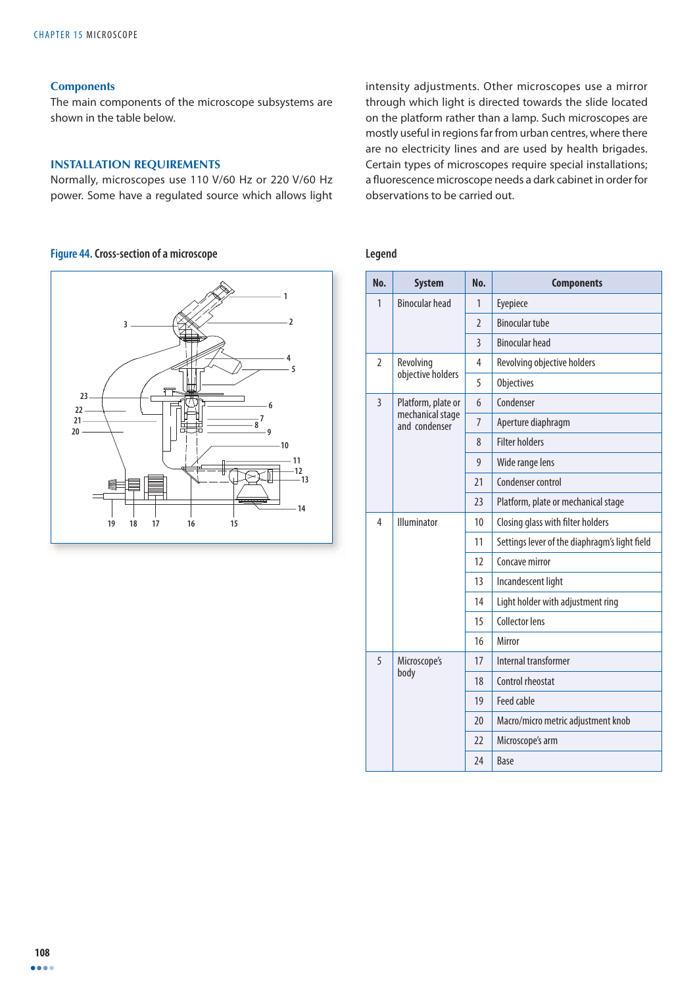#### **Components**

The main components of the microscope subsystems are shown in the table below.

#### **INSTALLATION REQUIREMENTS**

Normally, microscopes use 110 V/60 Hz or 220 V/60 Hz power. Some have a regulated source which allows light

#### **Figure 44. Cross-section of a microscope Legend**



intensity adjustments. Other microscopes use a mirror through which light is directed towards the slide located on the platform rather than a lamp. Such microscopes are mostly useful in regions far from urban centres, where there are no electricity lines and are used by health brigades. Certain types of microscopes require special installations; a fluorescence microscope needs a dark cabinet in order for observations to be carried out.

| No.            | <b>System</b>                     | No.            | <b>Components</b>                             |  |
|----------------|-----------------------------------|----------------|-----------------------------------------------|--|
| 1              | <b>Binocular head</b>             |                | Eyepiece                                      |  |
|                |                                   | $\mathfrak z$  | <b>Binocular tube</b>                         |  |
|                |                                   | 3              | <b>Binocular head</b>                         |  |
| $\mathfrak{I}$ | Revolving<br>objective holders    | $\overline{4}$ | Revolving objective holders                   |  |
|                |                                   | 5              | <b>Objectives</b>                             |  |
| 3              | Platform, plate or                | 6              | Condenser                                     |  |
|                | mechanical stage<br>and condenser | 7              | Aperture diaphragm                            |  |
|                |                                   | 8              | <b>Filter holders</b>                         |  |
|                |                                   | 9              | Wide range lens                               |  |
|                |                                   | 21             | Condenser control                             |  |
|                |                                   | 23             | Platform, plate or mechanical stage           |  |
| $\overline{4}$ | <b>Illuminator</b>                | 10             | Closing glass with filter holders             |  |
|                |                                   | 11             | Settings lever of the diaphragm's light field |  |
|                |                                   | 12             | Concave mirror                                |  |
|                |                                   | 13             | Incandescent light                            |  |
|                |                                   | 14             | Light holder with adjustment ring             |  |
|                |                                   | 15             | <b>Collector lens</b>                         |  |
|                |                                   | 16             | Mirror                                        |  |
| 5              | Microscope's<br>body              | 17             | Internal transformer                          |  |
|                |                                   | 18             | Control rheostat                              |  |
|                |                                   | 19             | <b>Feed cable</b>                             |  |
|                |                                   | 20             | Macro/micro metric adjustment knob            |  |
|                |                                   | 22             | Microscope's arm                              |  |
|                |                                   | 24             | Base                                          |  |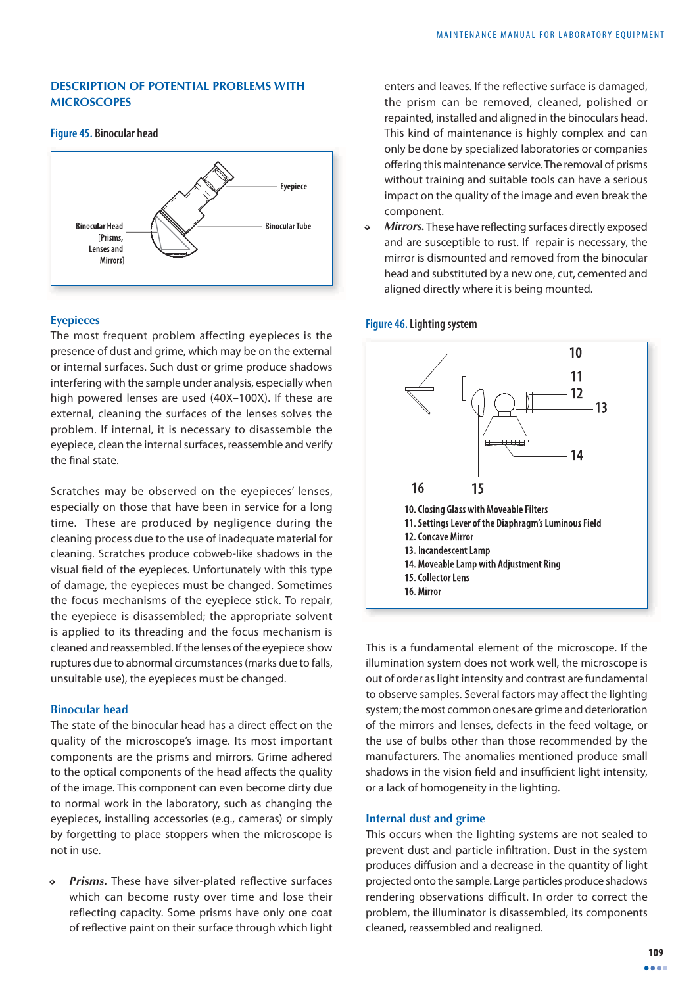#### **DESCRIPTION OF POTENTIAL PROBLEMS WITH MICROSCOPES**

#### **Figure 45. Binocular head**



#### **Eyepieces**

The most frequent problem affecting eyepieces is the presence of dust and grime, which may be on the external or internal surfaces. Such dust or grime produce shadows interfering with the sample under analysis, especially when high powered lenses are used (40X–100X). If these are external, cleaning the surfaces of the lenses solves the problem. If internal, it is necessary to disassemble the eyepiece, clean the internal surfaces, reassemble and verify the final state.

Scratches may be observed on the eyepieces' lenses, especially on those that have been in service for a long time. These are produced by negligence during the cleaning process due to the use of inadequate material for cleaning. Scratches produce cobweb-like shadows in the visual field of the eyepieces. Unfortunately with this type of damage, the eyepieces must be changed. Sometimes the focus mechanisms of the eyepiece stick. To repair, the eyepiece is disassembled; the appropriate solvent is applied to its threading and the focus mechanism is cleaned and reassembled. If the lenses of the eyepiece show ruptures due to abnormal circumstances (marks due to falls, unsuitable use), the eyepieces must be changed.

#### **Binocular head**

The state of the binocular head has a direct effect on the quality of the microscope's image. Its most important components are the prisms and mirrors. Grime adhered to the optical components of the head affects the quality of the image. This component can even become dirty due to normal work in the laboratory, such as changing the eyepieces, installing accessories (e.g., cameras) or simply by forgetting to place stoppers when the microscope is not in use.

• *Prisms.* These have silver-plated reflective surfaces which can become rusty over time and lose their reflecting capacity. Some prisms have only one coat of reflective paint on their surface through which light enters and leaves. If the reflective surface is damaged, the prism can be removed, cleaned, polished or repainted, installed and aligned in the binoculars head. This kind of maintenance is highly complex and can only be done by specialized laboratories or companies offering this maintenance service. The removal of prisms without training and suitable tools can have a serious impact on the quality of the image and even break the component.

• Mirrors. These have reflecting surfaces directly exposed and are susceptible to rust. If repair is necessary, the mirror is dismounted and removed from the binocular head and substituted by a new one, cut, cemented and aligned directly where it is being mounted.

#### **Figure 46. Lighting system**



This is a fundamental element of the microscope. If the illumination system does not work well, the microscope is out of order as light intensity and contrast are fundamental to observe samples. Several factors may affect the lighting system; the most common ones are grime and deterioration of the mirrors and lenses, defects in the feed voltage, or the use of bulbs other than those recommended by the manufacturers. The anomalies mentioned produce small shadows in the vision field and insufficient light intensity, or a lack of homogeneity in the lighting.

#### **Internal dust and grime**

This occurs when the lighting systems are not sealed to prevent dust and particle infiltration. Dust in the system produces diffusion and a decrease in the quantity of light projected onto the sample. Large particles produce shadows rendering observations difficult. In order to correct the problem, the illuminator is disassembled, its components cleaned, reassembled and realigned.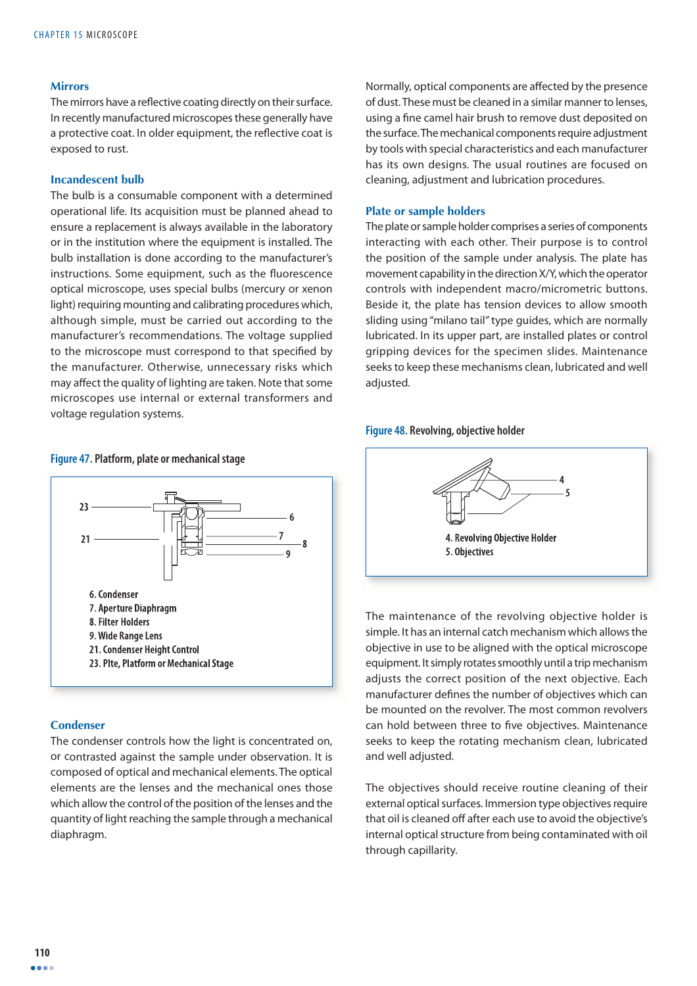#### **Mirrors**

The mirrors have a reflective coating directly on their surface. In recently manufactured microscopes these generally have a protective coat. In older equipment, the reflective coat is exposed to rust.

#### **Incandescent bulb**

The bulb is a consumable component with a determined operational life. Its acquisition must be planned ahead to ensure a replacement is always available in the laboratory or in the institution where the equipment is installed. The bulb installation is done according to the manufacturer's instructions. Some equipment, such as the fluorescence optical microscope, uses special bulbs (mercury or xenon light) requiring mounting and calibrating procedures which, although simple, must be carried out according to the manufacturer's recommendations. The voltage supplied to the microscope must correspond to that specified by the manufacturer. Otherwise, unnecessary risks which may affect the quality of lighting are taken. Note that some microscopes use internal or external transformers and voltage regulation systems.

 $\overline{2}$  $21$ 6. Condenser 7. Aperture Diaphragm 8. Filter Holders 9. Wide Range Lens 21. Condenser Height Control 23. Plte, Platform or Mechanical Stage

### **Figure 47. Platform, plate or mechanical stage**

#### **Condenser**

The condenser controls how the light is concentrated on, or contrasted against the sample under observation. It is composed of optical and mechanical elements. The optical elements are the lenses and the mechanical ones those which allow the control of the position of the lenses and the quantity of light reaching the sample through a mechanical diaphragm.

Normally, optical components are affected by the presence of dust. These must be cleaned in a similar manner to lenses, using a fine camel hair brush to remove dust deposited on the surface. The mechanical components require adjustment by tools with special characteristics and each manufacturer has its own designs. The usual routines are focused on cleaning, adjustment and lubrication procedures.

#### **Plate or sample holders**

The plate or sample holder comprises a series of components interacting with each other. Their purpose is to control the position of the sample under analysis. The plate has movement capability in the direction X/Y, which the operator controls with independent macro/micrometric buttons. Beside it, the plate has tension devices to allow smooth sliding using "milano tail" type guides, which are normally lubricated. In its upper part, are installed plates or control gripping devices for the specimen slides. Maintenance seeks to keep these mechanisms clean, lubricated and well adjusted.

#### **Figure 48. Revolving, objective holder**



The maintenance of the revolving objective holder is simple. It has an internal catch mechanism which allows the objective in use to be aligned with the optical microscope equipment. It simply rotates smoothly until a trip mechanism adjusts the correct position of the next objective. Each manufacturer defines the number of objectives which can be mounted on the revolver. The most common revolvers can hold between three to five objectives. Maintenance seeks to keep the rotating mechanism clean, lubricated and well adjusted.

The objectives should receive routine cleaning of their external optical surfaces. Immersion type objectives require that oil is cleaned off after each use to avoid the objective's internal optical structure from being contaminated with oil through capillarity.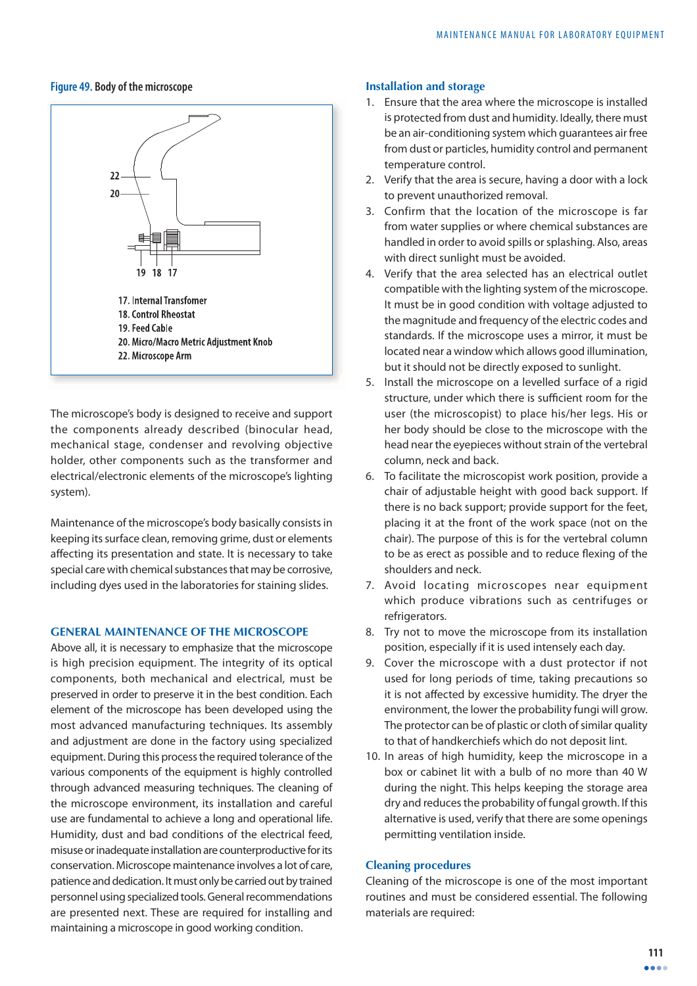#### **Figure 49. Body of the microscope**



The microscope's body is designed to receive and support the components already described (binocular head, mechanical stage, condenser and revolving objective holder, other components such as the transformer and electrical/electronic elements of the microscope's lighting system).

Maintenance of the microscope's body basically consists in keeping its surface clean, removing grime, dust or elements affecting its presentation and state. It is necessary to take special care with chemical substances that may be corrosive, including dyes used in the laboratories for staining slides.

#### **GENERAL MAINTENANCE OF THE MICROSCOPE**

Above all, it is necessary to emphasize that the microscope is high precision equipment. The integrity of its optical components, both mechanical and electrical, must be preserved in order to preserve it in the best condition. Each element of the microscope has been developed using the most advanced manufacturing techniques. Its assembly and adjustment are done in the factory using specialized equipment. During this process the required tolerance of the various components of the equipment is highly controlled through advanced measuring techniques. The cleaning of the microscope environment, its installation and careful use are fundamental to achieve a long and operational life. Humidity, dust and bad conditions of the electrical feed, misuse or inadequate installation are counterproductive for its conservation. Microscope maintenance involves a lot of care, patience and dedication. It must only be carried out by trained personnel using specialized tools. General recommendations are presented next. These are required for installing and maintaining a microscope in good working condition.

#### **Installation and storage**

- 1. Ensure that the area where the microscope is installed is protected from dust and humidity. Ideally, there must be an air-conditioning system which guarantees air free from dust or particles, humidity control and permanent temperature control.
- 2. Verify that the area is secure, having a door with a lock to prevent unauthorized removal.
- 3. Confirm that the location of the microscope is far from water supplies or where chemical substances are handled in order to avoid spills or splashing. Also, areas with direct sunlight must be avoided.
- 4. Verify that the area selected has an electrical outlet compatible with the lighting system of the microscope. It must be in good condition with voltage adjusted to the magnitude and frequency of the electric codes and standards. If the microscope uses a mirror, it must be located near a window which allows good illumination, but it should not be directly exposed to sunlight.
- 5. Install the microscope on a levelled surface of a rigid structure, under which there is sufficient room for the user (the microscopist) to place his/her legs. His or her body should be close to the microscope with the head near the eyepieces without strain of the vertebral column, neck and back.
- 6. To facilitate the microscopist work position, provide a chair of adjustable height with good back support. If there is no back support; provide support for the feet, placing it at the front of the work space (not on the chair). The purpose of this is for the vertebral column to be as erect as possible and to reduce flexing of the shoulders and neck.
- 7. Avoid locating microscopes near equipment which produce vibrations such as centrifuges or refrigerators.
- 8. Try not to move the microscope from its installation position, especially if it is used intensely each day.
- 9. Cover the microscope with a dust protector if not used for long periods of time, taking precautions so it is not affected by excessive humidity. The dryer the environment, the lower the probability fungi will grow. The protector can be of plastic or cloth of similar quality to that of handkerchiefs which do not deposit lint.
- 10. In areas of high humidity, keep the microscope in a box or cabinet lit with a bulb of no more than 40 W during the night. This helps keeping the storage area dry and reduces the probability of fungal growth. If this alternative is used, verify that there are some openings permitting ventilation inside.

#### **Cleaning procedures**

Cleaning of the microscope is one of the most important routines and must be considered essential. The following materials are required: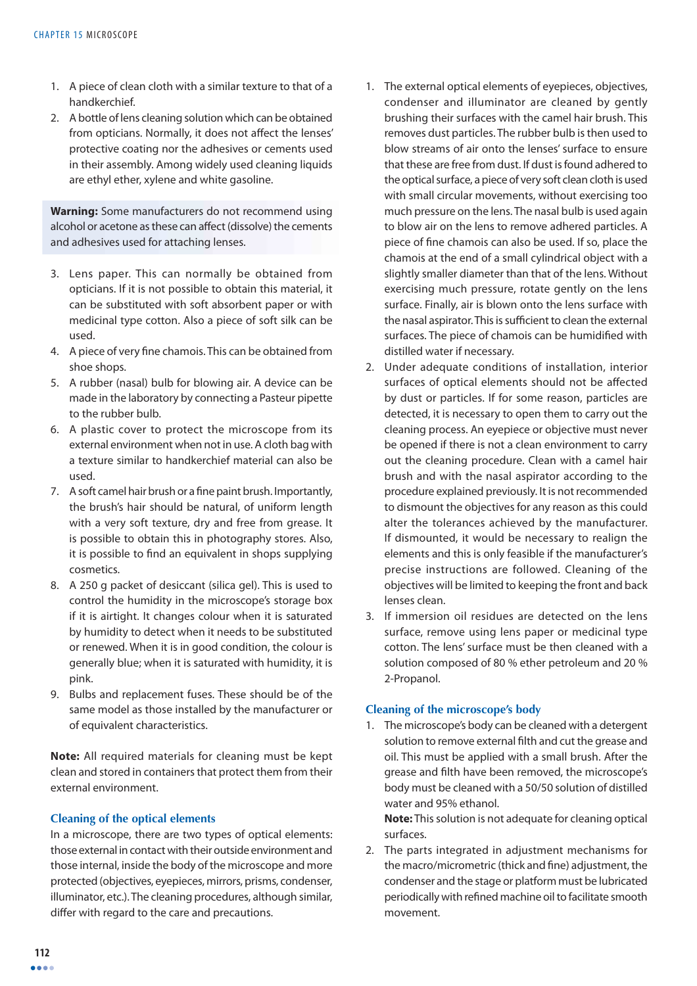- 1. A piece of clean cloth with a similar texture to that of a handkerchief.
- 2. A bottle of lens cleaning solution which can be obtained from opticians. Normally, it does not affect the lenses' protective coating nor the adhesives or cements used in their assembly. Among widely used cleaning liquids are ethyl ether, xylene and white gasoline.

**Warning:** Some manufacturers do not recommend using alcohol or acetone as these can affect (dissolve) the cements and adhesives used for attaching lenses.

- 3. Lens paper. This can normally be obtained from opticians. If it is not possible to obtain this material, it can be substituted with soft absorbent paper or with medicinal type cotton. Also a piece of soft silk can be used.
- 4. A piece of very fine chamois. This can be obtained from shoe shops.
- 5. A rubber (nasal) bulb for blowing air. A device can be made in the laboratory by connecting a Pasteur pipette to the rubber bulb.
- 6. A plastic cover to protect the microscope from its external environment when not in use. A cloth bag with a texture similar to handkerchief material can also be used.
- 7. A soft camel hair brush or a fine paint brush. Importantly, the brush's hair should be natural, of uniform length with a very soft texture, dry and free from grease. It is possible to obtain this in photography stores. Also, it is possible to find an equivalent in shops supplying cosmetics.
- 8. A 250 g packet of desiccant (silica gel). This is used to control the humidity in the microscope's storage box if it is airtight. It changes colour when it is saturated by humidity to detect when it needs to be substituted or renewed. When it is in good condition, the colour is generally blue; when it is saturated with humidity, it is pink.
- 9. Bulbs and replacement fuses. These should be of the same model as those installed by the manufacturer or of equivalent characteristics.

**Note:** All required materials for cleaning must be kept clean and stored in containers that protect them from their external environment.

#### **Cleaning of the optical elements**

In a microscope, there are two types of optical elements: those external in contact with their outside environment and those internal, inside the body of the microscope and more protected (objectives, eyepieces, mirrors, prisms, condenser, illuminator, etc.). The cleaning procedures, although similar, differ with regard to the care and precautions.

- 1. The external optical elements of eyepieces, objectives, condenser and illuminator are cleaned by gently brushing their surfaces with the camel hair brush. This removes dust particles. The rubber bulb is then used to blow streams of air onto the lenses' surface to ensure that these are free from dust. If dust is found adhered to the optical surface, a piece of very soft clean cloth is used with small circular movements, without exercising too much pressure on the lens. The nasal bulb is used again to blow air on the lens to remove adhered particles. A piece of fine chamois can also be used. If so, place the chamois at the end of a small cylindrical object with a slightly smaller diameter than that of the lens. Without exercising much pressure, rotate gently on the lens surface. Finally, air is blown onto the lens surface with the nasal aspirator. This is sufficient to clean the external surfaces. The piece of chamois can be humidified with distilled water if necessary.
- 2. Under adequate conditions of installation, interior surfaces of optical elements should not be affected by dust or particles. If for some reason, particles are detected, it is necessary to open them to carry out the cleaning process. An eyepiece or objective must never be opened if there is not a clean environment to carry out the cleaning procedure. Clean with a camel hair brush and with the nasal aspirator according to the procedure explained previously. It is not recommended to dismount the objectives for any reason as this could alter the tolerances achieved by the manufacturer. If dismounted, it would be necessary to realign the elements and this is only feasible if the manufacturer's precise instructions are followed. Cleaning of the objectives will be limited to keeping the front and back lenses clean.
- 3. If immersion oil residues are detected on the lens surface, remove using lens paper or medicinal type cotton. The lens' surface must be then cleaned with a solution composed of 80 % ether petroleum and 20 % 2-Propanol.

#### **Cleaning of the microscope's body**

1. The microscope's body can be cleaned with a detergent solution to remove external filth and cut the grease and oil. This must be applied with a small brush. After the grease and filth have been removed, the microscope's body must be cleaned with a 50/50 solution of distilled water and 95% ethanol.

 **Note:** This solution is not adequate for cleaning optical surfaces.

2. The parts integrated in adjustment mechanisms for the macro/micrometric (thick and fine) adjustment, the condenser and the stage or platform must be lubricated periodically with refined machine oil to facilitate smooth movement.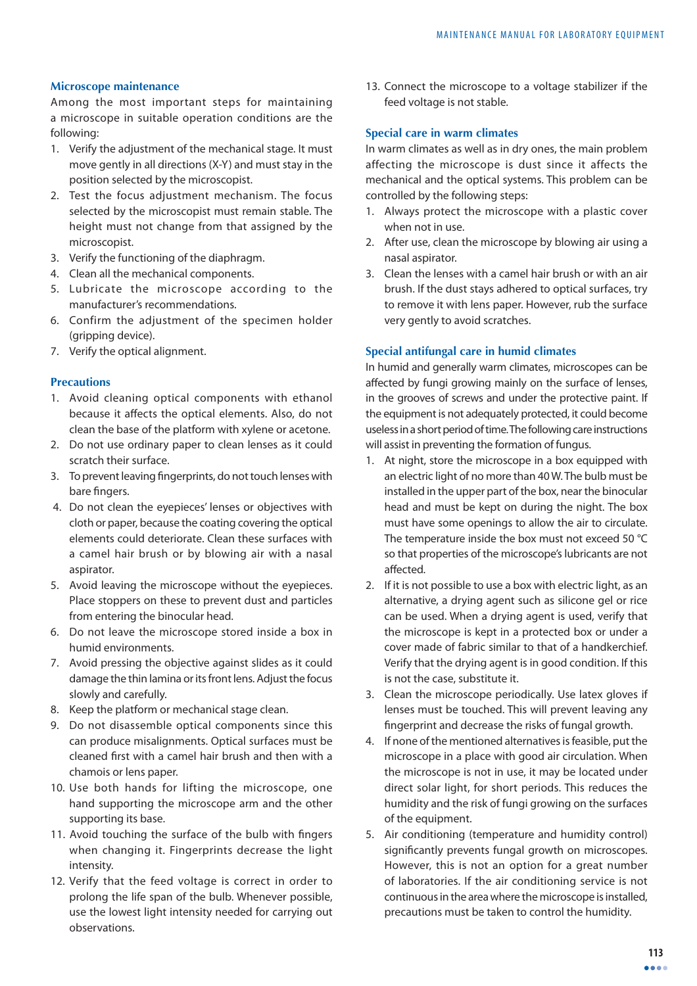#### **Microscope maintenance**

Among the most important steps for maintaining a microscope in suitable operation conditions are the following:

- 1. Verify the adjustment of the mechanical stage. It must move gently in all directions (X-Y) and must stay in the position selected by the microscopist.
- 2. Test the focus adjustment mechanism. The focus selected by the microscopist must remain stable. The height must not change from that assigned by the microscopist.
- 3. Verify the functioning of the diaphragm.
- 4. Clean all the mechanical components.
- 5. Lubricate the microscope according to the manufacturer's recommendations.
- 6. Confirm the adjustment of the specimen holder (gripping device).
- 7. Verify the optical alignment.

#### **Precautions**

- 1. Avoid cleaning optical components with ethanol because it affects the optical elements. Also, do not clean the base of the platform with xylene or acetone.
- 2. Do not use ordinary paper to clean lenses as it could scratch their surface.
- 3. To prevent leaving fingerprints, do not touch lenses with bare fingers.
- 4. Do not clean the eyepieces' lenses or objectives with cloth or paper, because the coating covering the optical elements could deteriorate. Clean these surfaces with a camel hair brush or by blowing air with a nasal aspirator.
- 5. Avoid leaving the microscope without the eyepieces. Place stoppers on these to prevent dust and particles from entering the binocular head.
- 6. Do not leave the microscope stored inside a box in humid environments.
- 7. Avoid pressing the objective against slides as it could damage the thin lamina or its front lens. Adjust the focus slowly and carefully.
- 8. Keep the platform or mechanical stage clean.
- 9. Do not disassemble optical components since this can produce misalignments. Optical surfaces must be cleaned first with a camel hair brush and then with a chamois or lens paper.
- 10. Use both hands for lifting the microscope, one hand supporting the microscope arm and the other supporting its base.
- 11. Avoid touching the surface of the bulb with fingers when changing it. Fingerprints decrease the light intensity.
- 12. Verify that the feed voltage is correct in order to prolong the life span of the bulb. Whenever possible, use the lowest light intensity needed for carrying out observations.

13. Connect the microscope to a voltage stabilizer if the feed voltage is not stable.

#### **Special care in warm climates**

In warm climates as well as in dry ones, the main problem affecting the microscope is dust since it affects the mechanical and the optical systems. This problem can be controlled by the following steps:

- 1. Always protect the microscope with a plastic cover when not in use.
- 2. After use, clean the microscope by blowing air using a nasal aspirator.
- 3. Clean the lenses with a camel hair brush or with an air brush. If the dust stays adhered to optical surfaces, try to remove it with lens paper. However, rub the surface very gently to avoid scratches.

#### **Special antifungal care in humid climates**

In humid and generally warm climates, microscopes can be affected by fungi growing mainly on the surface of lenses, in the grooves of screws and under the protective paint. If the equipment is not adequately protected, it could become useless in a short period of time. The following care instructions will assist in preventing the formation of fungus.

- 1. At night, store the microscope in a box equipped with an electric light of no more than 40 W. The bulb must be installed in the upper part of the box, near the binocular head and must be kept on during the night. The box must have some openings to allow the air to circulate. The temperature inside the box must not exceed 50 °C so that properties of the microscope's lubricants are not affected.
- 2. If it is not possible to use a box with electric light, as an alternative, a drying agent such as silicone gel or rice can be used. When a drying agent is used, verify that the microscope is kept in a protected box or under a cover made of fabric similar to that of a handkerchief. Verify that the drying agent is in good condition. If this is not the case, substitute it.
- 3. Clean the microscope periodically. Use latex gloves if lenses must be touched. This will prevent leaving any fingerprint and decrease the risks of fungal growth.
- 4. If none of the mentioned alternatives is feasible, put the microscope in a place with good air circulation. When the microscope is not in use, it may be located under direct solar light, for short periods. This reduces the humidity and the risk of fungi growing on the surfaces of the equipment.
- 5. Air conditioning (temperature and humidity control) significantly prevents fungal growth on microscopes. However, this is not an option for a great number of laboratories. If the air conditioning service is not continuous in the area where the microscope is installed, precautions must be taken to control the humidity.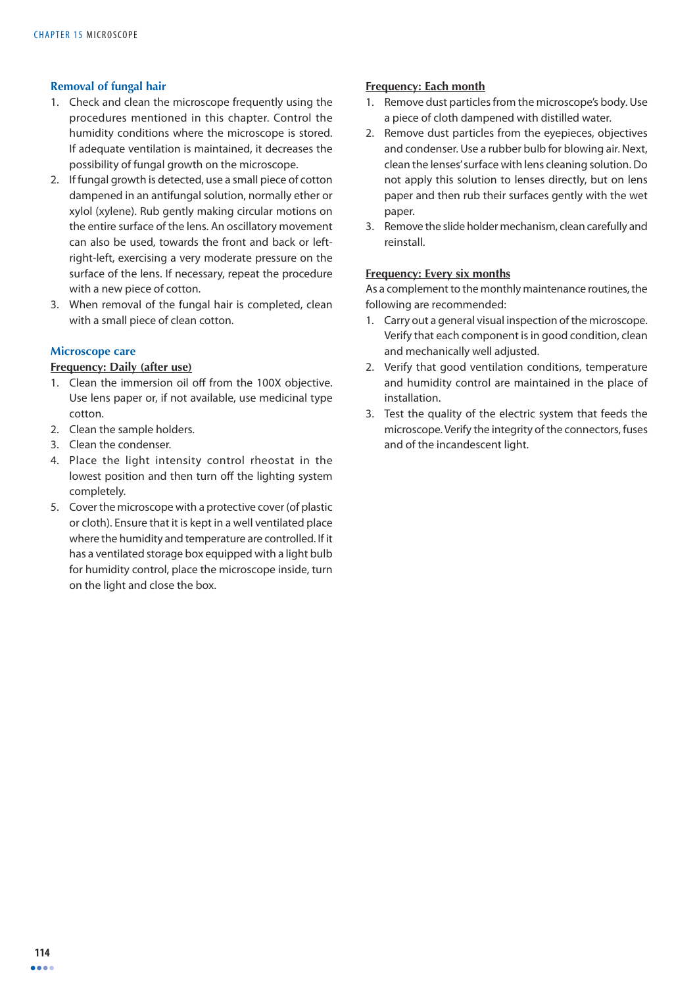#### **Removal of fungal hair**

- 1. Check and clean the microscope frequently using the procedures mentioned in this chapter. Control the humidity conditions where the microscope is stored. If adequate ventilation is maintained, it decreases the possibility of fungal growth on the microscope.
- 2. If fungal growth is detected, use a small piece of cotton dampened in an antifungal solution, normally ether or xylol (xylene). Rub gently making circular motions on the entire surface of the lens. An oscillatory movement can also be used, towards the front and back or leftright-left, exercising a very moderate pressure on the surface of the lens. If necessary, repeat the procedure with a new piece of cotton.
- 3. When removal of the fungal hair is completed, clean with a small piece of clean cotton.

#### **Microscope care**

#### **Frequency: Daily (after use)**

- 1. Clean the immersion oil off from the 100X objective. Use lens paper or, if not available, use medicinal type cotton.
- 2. Clean the sample holders.
- 3. Clean the condenser.
- 4. Place the light intensity control rheostat in the lowest position and then turn off the lighting system completely.
- 5. Cover the microscope with a protective cover (of plastic or cloth). Ensure that it is kept in a well ventilated place where the humidity and temperature are controlled. If it has a ventilated storage box equipped with a light bulb for humidity control, place the microscope inside, turn on the light and close the box.

#### **Frequency: Each month**

- 1. Remove dust particles from the microscope's body. Use a piece of cloth dampened with distilled water.
- 2. Remove dust particles from the eyepieces, objectives and condenser. Use a rubber bulb for blowing air. Next, clean the lenses' surface with lens cleaning solution. Do not apply this solution to lenses directly, but on lens paper and then rub their surfaces gently with the wet paper.
- 3. Remove the slide holder mechanism, clean carefully and reinstall.

#### **Frequency: Every six months**

As a complement to the monthly maintenance routines, the following are recommended:

- 1. Carry out a general visual inspection of the microscope. Verify that each component is in good condition, clean and mechanically well adjusted.
- 2. Verify that good ventilation conditions, temperature and humidity control are maintained in the place of installation.
- 3. Test the quality of the electric system that feeds the microscope. Verify the integrity of the connectors, fuses and of the incandescent light.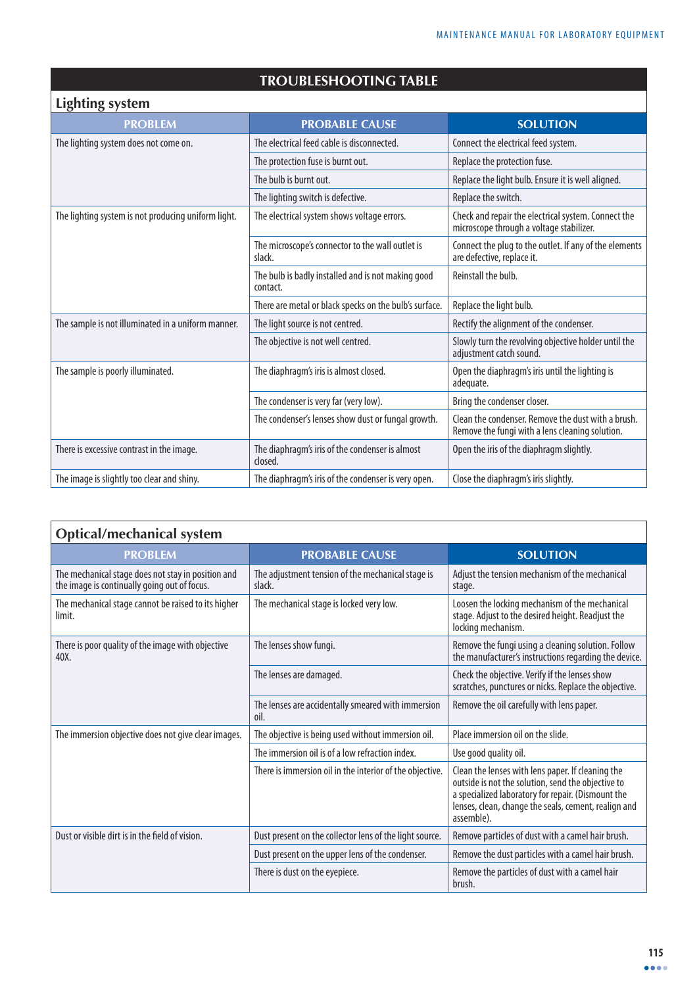## **TROUBLESHOOTING TABLE**

### **Lighting system**

| Lighting system                                     |                                                                |                                                                                                       |  |  |  |  |  |
|-----------------------------------------------------|----------------------------------------------------------------|-------------------------------------------------------------------------------------------------------|--|--|--|--|--|
| <b>PROBLEM</b>                                      | <b>PROBABLE CAUSE</b>                                          | <b>SOLUTION</b>                                                                                       |  |  |  |  |  |
| The lighting system does not come on.               | The electrical feed cable is disconnected.                     | Connect the electrical feed system.                                                                   |  |  |  |  |  |
|                                                     | The protection fuse is burnt out.                              | Replace the protection fuse.                                                                          |  |  |  |  |  |
|                                                     | The bulb is burnt out.                                         | Replace the light bulb. Ensure it is well aligned.                                                    |  |  |  |  |  |
|                                                     | The lighting switch is defective.                              | Replace the switch.                                                                                   |  |  |  |  |  |
| The lighting system is not producing uniform light. | The electrical system shows voltage errors.                    | Check and repair the electrical system. Connect the<br>microscope through a voltage stabilizer.       |  |  |  |  |  |
|                                                     | The microscope's connector to the wall outlet is<br>slack.     | Connect the plug to the outlet. If any of the elements<br>are defective, replace it.                  |  |  |  |  |  |
|                                                     | The bulb is badly installed and is not making good<br>contact. | Reinstall the bulb.                                                                                   |  |  |  |  |  |
|                                                     | There are metal or black specks on the bulb's surface.         | Replace the light bulb.                                                                               |  |  |  |  |  |
| The sample is not illuminated in a uniform manner.  | The light source is not centred.                               | Rectify the alignment of the condenser.                                                               |  |  |  |  |  |
|                                                     | The objective is not well centred.                             | Slowly turn the revolving objective holder until the<br>adjustment catch sound.                       |  |  |  |  |  |
| The sample is poorly illuminated.                   | The diaphragm's iris is almost closed.                         | Open the diaphragm's iris until the lighting is<br>adequate.                                          |  |  |  |  |  |
|                                                     | The condenser is very far (very low).                          | Bring the condenser closer.                                                                           |  |  |  |  |  |
|                                                     | The condenser's lenses show dust or fungal growth.             | Clean the condenser. Remove the dust with a brush.<br>Remove the fungi with a lens cleaning solution. |  |  |  |  |  |
| There is excessive contrast in the image.           | The diaphragm's iris of the condenser is almost<br>closed.     | Open the iris of the diaphragm slightly.                                                              |  |  |  |  |  |
| The image is slightly too clear and shiny.          | The diaphragm's iris of the condenser is very open.            | Close the diaphragm's iris slightly.                                                                  |  |  |  |  |  |

| <b>Optical/mechanical system</b>                                                                   |                                                             |                                                                                                                                                                                                                                     |  |  |  |  |
|----------------------------------------------------------------------------------------------------|-------------------------------------------------------------|-------------------------------------------------------------------------------------------------------------------------------------------------------------------------------------------------------------------------------------|--|--|--|--|
| <b>PROBLEM</b>                                                                                     | <b>PROBABLE CAUSE</b>                                       | <b>SOLUTION</b>                                                                                                                                                                                                                     |  |  |  |  |
| The mechanical stage does not stay in position and<br>the image is continually going out of focus. | The adjustment tension of the mechanical stage is<br>slack. | Adjust the tension mechanism of the mechanical<br>stage.                                                                                                                                                                            |  |  |  |  |
| The mechanical stage cannot be raised to its higher<br>limit.                                      | The mechanical stage is locked very low.                    | Loosen the locking mechanism of the mechanical<br>stage. Adjust to the desired height. Readjust the<br>locking mechanism.                                                                                                           |  |  |  |  |
| There is poor quality of the image with objective<br>40X.                                          | The lenses show fungi.                                      | Remove the fungi using a cleaning solution. Follow<br>the manufacturer's instructions regarding the device.                                                                                                                         |  |  |  |  |
|                                                                                                    | The lenses are damaged.                                     | Check the objective. Verify if the lenses show<br>scratches, punctures or nicks. Replace the objective.                                                                                                                             |  |  |  |  |
|                                                                                                    | The lenses are accidentally smeared with immersion<br>oil.  | Remove the oil carefully with lens paper.                                                                                                                                                                                           |  |  |  |  |
| The immersion objective does not give clear images.                                                | The objective is being used without immersion oil.          | Place immersion oil on the slide.                                                                                                                                                                                                   |  |  |  |  |
|                                                                                                    | The immersion oil is of a low refraction index.             | Use good quality oil.                                                                                                                                                                                                               |  |  |  |  |
|                                                                                                    | There is immersion oil in the interior of the objective.    | Clean the lenses with lens paper. If cleaning the<br>outside is not the solution, send the objective to<br>a specialized laboratory for repair. (Dismount the<br>lenses, clean, change the seals, cement, realign and<br>assemble). |  |  |  |  |
| Dust or visible dirt is in the field of vision.                                                    | Dust present on the collector lens of the light source.     | Remove particles of dust with a camel hair brush.                                                                                                                                                                                   |  |  |  |  |
|                                                                                                    | Dust present on the upper lens of the condenser.            | Remove the dust particles with a camel hair brush.                                                                                                                                                                                  |  |  |  |  |
|                                                                                                    | There is dust on the eyepiece.                              | Remove the particles of dust with a camel hair<br>brush.                                                                                                                                                                            |  |  |  |  |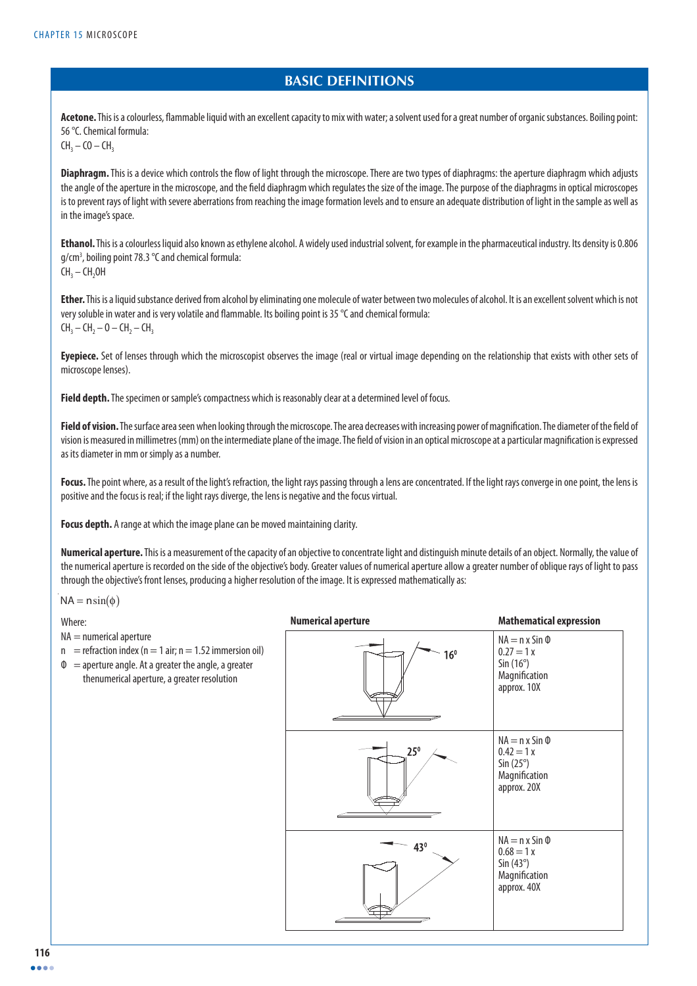#### **BASIC DEFINITIONS**

Acetone. This is a colourless, flammable liquid with an excellent capacity to mix with water; a solvent used for a great number of organic substances. Boiling point: 56 °C. Chemical formula:

 $CH<sub>3</sub> - CO - CH<sub>3</sub>$ 

Diaphragm. This is a device which controls the flow of light through the microscope. There are two types of diaphragms: the aperture diaphragm which adjusts the angle of the aperture in the microscope, and the field diaphragm which regulates the size of the image. The purpose of the diaphragms in optical microscopes is to prevent rays of light with severe aberrations from reaching the image formation levels and to ensure an adequate distribution of light in the sample as well as in the image's space.

**Ethanol.** This is a colourless liquid also known as ethylene alcohol. A widely used industrial solvent, for example in the pharmaceutical industry. Its density is 0.806 g/cm<sup>3</sup>, boiling point 78.3 °C and chemical formula:  $CH<sub>3</sub> - CH<sub>2</sub>OH$ 

**Ether.** This is a liquid substance derived from alcohol by eliminating one molecule of water between two molecules of alcohol. It is an excellent solvent which is not very soluble in water and is very volatile and flammable. Its boiling point is 35 °C and chemical formula:  $CH_3 - CH_2 - O - CH_2 - CH_3$ 

**Eyepiece.** Set of lenses through which the microscopist observes the image (real or virtual image depending on the relationship that exists with other sets of microscope lenses).

Field depth. The specimen or sample's compactness which is reasonably clear at a determined level of focus.

Field of vision. The surface area seen when looking through the microscope. The area decreases with increasing power of magnification. The diameter of the field of vision is measured in millimetres (mm) on the intermediate plane of the image. The field of vision in an optical microscope at a particular magnification is expressed as its diameter in mm or simply as a number.

Focus. The point where, as a result of the light's refraction, the light rays passing through a lens are concentrated. If the light rays converge in one point, the lens is positive and the focus is real; if the light rays diverge, the lens is negative and the focus virtual.

**Focus depth.** A range at which the image plane can be moved maintaining clarity.

**Numerical aperture.** This is a measurement of the capacity of an objective to concentrate light and distinguish minute details of an object. Normally, the value of the numerical aperture is recorded on the side of the objective's body. Greater values of numerical aperture allow a greater number of oblique rays of light to pass through the objective's front lenses, producing a higher resolution of the image. It is expressed mathematically as:

 $NA = nsin(\phi)$ 

**Numerical aperture and according to the Mathematical expression** Where: NA = numerical aperture  $NA = n \times Sin \Phi$  $n =$  refraction index ( $n = 1$  air;  $n = 1.52$  immersion oil)  $0.27 = 1 x$  $16<sup>0</sup>$ Sin (16°)  $\Phi$  = aperture angle. At a greater the angle, a greater **Magnification**  thenumerical aperture, a greater resolution approx. 10X  $NA = n \times Sin \Phi$  $25^{\circ}$  $0.42 = 1 x$ Sin (25°) **Magnification** approx. 20X  $NA = n \times Sin \Phi$  $43<sup>0</sup>$  $0.68 = 1 x$ Sin (43°) Magnification approx. 40X

**116 AAA4**